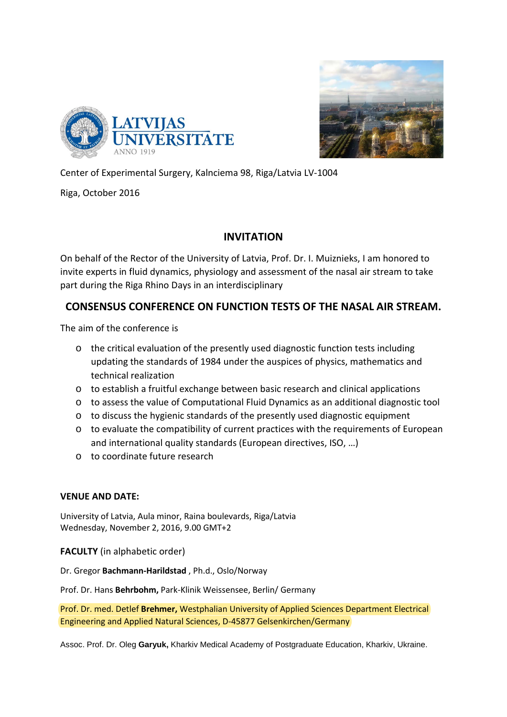



Center of Experimental Surgery, Kalnciema 98, Riga/Latvia LV-1004

Riga, October 2016

## **INVITATION**

On behalf of the Rector of the University of Latvia, Prof. Dr. I. Muiznieks, I am honored to invite experts in fluid dynamics, physiology and assessment of the nasal air stream to take part during the Riga Rhino Days in an interdisciplinary

## **CONSENSUS CONFERENCE ON FUNCTION TESTS OF THE NASAL AIR STREAM.**

The aim of the conference is

- o the critical evaluation of the presently used diagnostic function tests including updating the standards of 1984 under the auspices of physics, mathematics and technical realization
- $\circ$  to establish a fruitful exchange between basic research and clinical applications
- o to assess the value of Computational Fluid Dynamics as an additional diagnostic tool
- $\circ$  to discuss the hygienic standards of the presently used diagnostic equipment
- o to evaluate the compatibility of current practices with the requirements of European and international quality standards (European directives, ISO, …)
- o to coordinate future research

## **VENUE AND DATE:**

University of Latvia, Aula minor, Raina boulevards, Riga/Latvia Wednesday, November 2, 2016, 9.00 GMT+2

**FACULTY** (in alphabetic order)

Dr. Gregor **Bachmann-Harildstad** , Ph.d., Oslo/Norway

Prof. Dr. Hans **Behrbohm,** Park-Klinik Weissensee, Berlin/ Germany

Prof. Dr. med. Detlef **Brehmer,** Westphalian University of Applied Sciences Department Electrical Engineering and Applied Natural Sciences, D-45877 Gelsenkirchen/Germany

Assoc. Prof. Dr. Oleg **Garyuk,** Kharkiv Medical Academy of Postgraduate Education, Kharkiv, Ukraine.